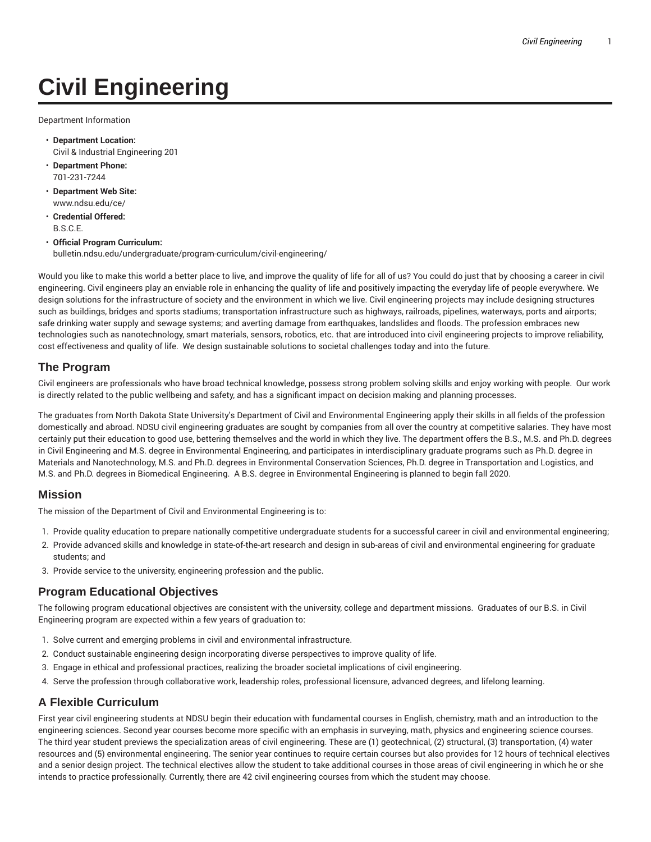# **Civil Engineering**

Department Information

- **Department Location:** Civil & Industrial Engineering 201
- **Department Phone:** 701-231-7244
- **Department Web Site:** www.ndsu.edu/ce/
- **Credential Offered:** B.S.C.E.
- **Official Program Curriculum:** bulletin.ndsu.edu/undergraduate/program-curriculum/civil-engineering/

Would you like to make this world a better place to live, and improve the quality of life for all of us? You could do just that by choosing a career in civil engineering. Civil engineers play an enviable role in enhancing the quality of life and positively impacting the everyday life of people everywhere. We design solutions for the infrastructure of society and the environment in which we live. Civil engineering projects may include designing structures such as buildings, bridges and sports stadiums; transportation infrastructure such as highways, railroads, pipelines, waterways, ports and airports; safe drinking water supply and sewage systems; and averting damage from earthquakes, landslides and floods. The profession embraces new technologies such as nanotechnology, smart materials, sensors, robotics, etc. that are introduced into civil engineering projects to improve reliability, cost effectiveness and quality of life. We design sustainable solutions to societal challenges today and into the future.

#### **The Program**

Civil engineers are professionals who have broad technical knowledge, possess strong problem solving skills and enjoy working with people. Our work is directly related to the public wellbeing and safety, and has a significant impact on decision making and planning processes.

The graduates from North Dakota State University's Department of Civil and Environmental Engineering apply their skills in all fields of the profession domestically and abroad. NDSU civil engineering graduates are sought by companies from all over the country at competitive salaries. They have most certainly put their education to good use, bettering themselves and the world in which they live. The department offers the B.S., M.S. and Ph.D. degrees in Civil Engineering and M.S. degree in Environmental Engineering, and participates in interdisciplinary graduate programs such as Ph.D. degree in Materials and Nanotechnology, M.S. and Ph.D. degrees in Environmental Conservation Sciences, Ph.D. degree in Transportation and Logistics, and M.S. and Ph.D. degrees in Biomedical Engineering. A B.S. degree in Environmental Engineering is planned to begin fall 2020.

#### **Mission**

The mission of the Department of Civil and Environmental Engineering is to:

- 1. Provide quality education to prepare nationally competitive undergraduate students for a successful career in civil and environmental engineering;
- 2. Provide advanced skills and knowledge in state-of-the-art research and design in sub-areas of civil and environmental engineering for graduate students; and
- 3. Provide service to the university, engineering profession and the public.

#### **Program Educational Objectives**

The following program educational objectives are consistent with the university, college and department missions. Graduates of our B.S. in Civil Engineering program are expected within a few years of graduation to:

- 1. Solve current and emerging problems in civil and environmental infrastructure.
- 2. Conduct sustainable engineering design incorporating diverse perspectives to improve quality of life.
- 3. Engage in ethical and professional practices, realizing the broader societal implications of civil engineering.
- 4. Serve the profession through collaborative work, leadership roles, professional licensure, advanced degrees, and lifelong learning.

### **A Flexible Curriculum**

First year civil engineering students at NDSU begin their education with fundamental courses in English, chemistry, math and an introduction to the engineering sciences. Second year courses become more specific with an emphasis in surveying, math, physics and engineering science courses. The third year student previews the specialization areas of civil engineering. These are (1) geotechnical, (2) structural, (3) transportation, (4) water resources and (5) environmental engineering. The senior year continues to require certain courses but also provides for 12 hours of technical electives and a senior design project. The technical electives allow the student to take additional courses in those areas of civil engineering in which he or she intends to practice professionally. Currently, there are 42 civil engineering courses from which the student may choose.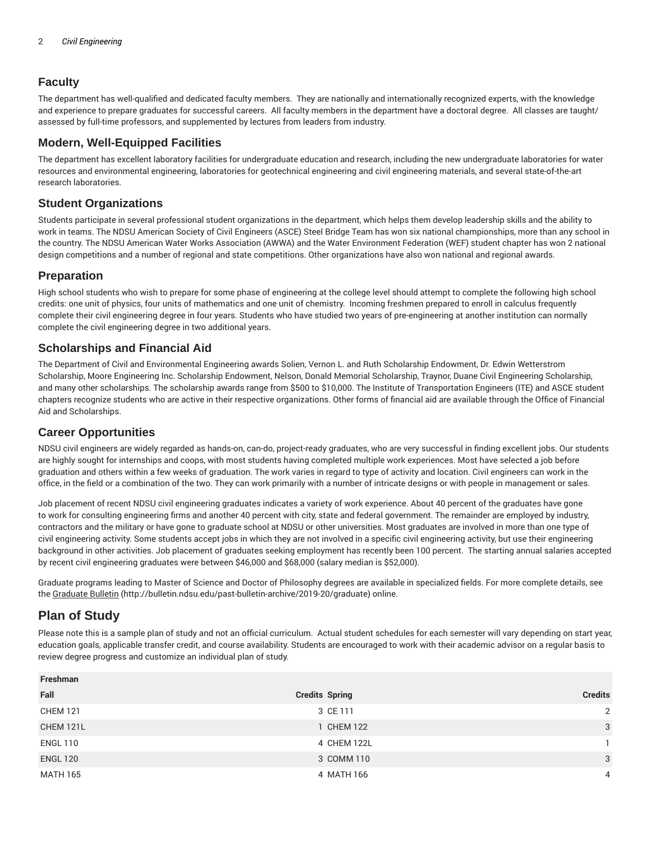## **Faculty**

The department has well-qualified and dedicated faculty members. They are nationally and internationally recognized experts, with the knowledge and experience to prepare graduates for successful careers. All faculty members in the department have a doctoral degree. All classes are taught/ assessed by full-time professors, and supplemented by lectures from leaders from industry.

### **Modern, Well-Equipped Facilities**

The department has excellent laboratory facilities for undergraduate education and research, including the new undergraduate laboratories for water resources and environmental engineering, laboratories for geotechnical engineering and civil engineering materials, and several state-of-the-art research laboratories.

#### **Student Organizations**

Students participate in several professional student organizations in the department, which helps them develop leadership skills and the ability to work in teams. The NDSU American Society of Civil Engineers (ASCE) Steel Bridge Team has won six national championships, more than any school in the country. The NDSU American Water Works Association (AWWA) and the Water Environment Federation (WEF) student chapter has won 2 national design competitions and a number of regional and state competitions. Other organizations have also won national and regional awards.

#### **Preparation**

High school students who wish to prepare for some phase of engineering at the college level should attempt to complete the following high school credits: one unit of physics, four units of mathematics and one unit of chemistry. Incoming freshmen prepared to enroll in calculus frequently complete their civil engineering degree in four years. Students who have studied two years of pre-engineering at another institution can normally complete the civil engineering degree in two additional years.

#### **Scholarships and Financial Aid**

The Department of Civil and Environmental Engineering awards Solien, Vernon L. and Ruth Scholarship Endowment, Dr. Edwin Wetterstrom Scholarship, Moore Engineering Inc. Scholarship Endowment, Nelson, Donald Memorial Scholarship, Traynor, Duane Civil Engineering Scholarship, and many other scholarships. The scholarship awards range from \$500 to \$10,000. The Institute of Transportation Engineers (ITE) and ASCE student chapters recognize students who are active in their respective organizations. Other forms of financial aid are available through the Office of Financial Aid and Scholarships.

### **Career Opportunities**

NDSU civil engineers are widely regarded as hands-on, can-do, project-ready graduates, who are very successful in finding excellent jobs. Our students are highly sought for internships and coops, with most students having completed multiple work experiences. Most have selected a job before graduation and others within a few weeks of graduation. The work varies in regard to type of activity and location. Civil engineers can work in the office, in the field or a combination of the two. They can work primarily with a number of intricate designs or with people in management or sales.

Job placement of recent NDSU civil engineering graduates indicates a variety of work experience. About 40 percent of the graduates have gone to work for consulting engineering firms and another 40 percent with city, state and federal government. The remainder are employed by industry, contractors and the military or have gone to graduate school at NDSU or other universities. Most graduates are involved in more than one type of civil engineering activity. Some students accept jobs in which they are not involved in a specific civil engineering activity, but use their engineering background in other activities. Job placement of graduates seeking employment has recently been 100 percent. The starting annual salaries accepted by recent civil engineering graduates were between \$46,000 and \$68,000 (salary median is \$52,000).

Graduate programs leading to Master of Science and Doctor of Philosophy degrees are available in specialized fields. For more complete details, see the Graduate Bulletin (http://bulletin.ndsu.edu/past-bulletin-archive/2019-20/graduate) online.

# **Plan of Study**

Please note this is a sample plan of study and not an official curriculum. Actual student schedules for each semester will vary depending on start year, education goals, applicable transfer credit, and course availability. Students are encouraged to work with their academic advisor on a regular basis to review degree progress and customize an individual plan of study.

| Freshman        |                       |                |
|-----------------|-----------------------|----------------|
| Fall            | <b>Credits Spring</b> | <b>Credits</b> |
| <b>CHEM 121</b> | 3 CE 111              | 2              |
| CHEM 121L       | 1 CHEM 122            | 3              |
| <b>ENGL 110</b> | 4 CHEM 122L           |                |
| <b>ENGL 120</b> | 3 COMM 110            | 3              |
| <b>MATH 165</b> | 4 MATH 166            | 4              |